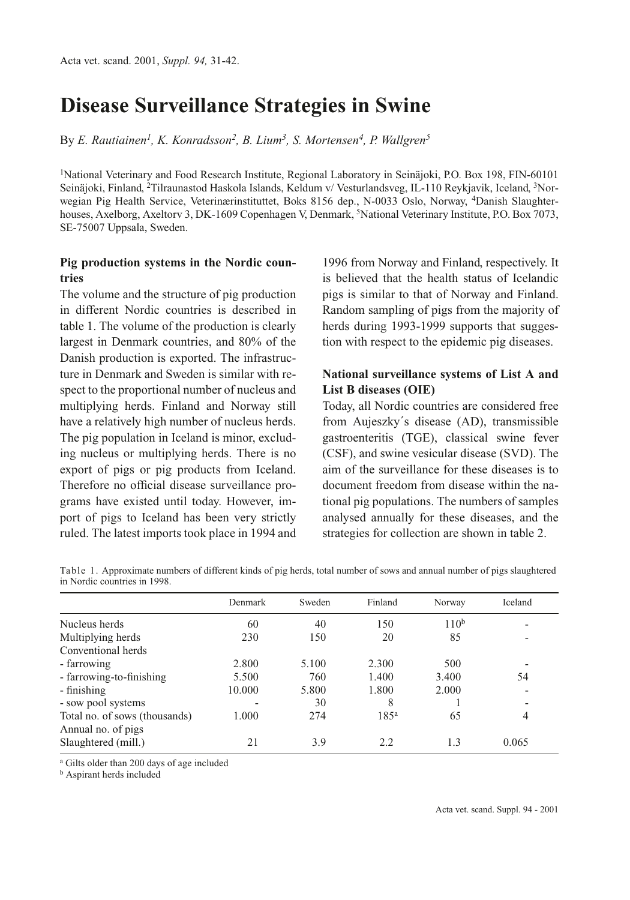# **Disease Surveillance Strategies in Swine**

By *E. Rautiainen1, K. Konradsson2, B. Lium3, S. Mortensen4, P. Wallgren5*

<sup>1</sup>National Veterinary and Food Research Institute, Regional Laboratory in Seinäjoki, P.O. Box 198, FIN-60101 Seinäjoki, Finland, 2Tilraunastod Haskola Islands, Keldum v/ Vesturlandsveg, IL-110 Reykjavik, Iceland, 3Norwegian Pig Health Service, Veterinærinstituttet, Boks 8156 dep., N-0033 Oslo, Norway, 4Danish Slaughterhouses, Axelborg, Axeltory 3, DK-1609 Copenhagen V, Denmark, <sup>5</sup>National Veterinary Institute, P.O. Box 7073, SE-75007 Uppsala, Sweden.

#### **Pig production systems in the Nordic countries**

The volume and the structure of pig production in different Nordic countries is described in table 1. The volume of the production is clearly largest in Denmark countries, and 80% of the Danish production is exported. The infrastructure in Denmark and Sweden is similar with respect to the proportional number of nucleus and multiplying herds. Finland and Norway still have a relatively high number of nucleus herds. The pig population in Iceland is minor, excluding nucleus or multiplying herds. There is no export of pigs or pig products from Iceland. Therefore no official disease surveillance programs have existed until today. However, import of pigs to Iceland has been very strictly ruled. The latest imports took place in 1994 and

1996 from Norway and Finland, respectively. It is believed that the health status of Icelandic pigs is similar to that of Norway and Finland. Random sampling of pigs from the majority of herds during 1993-1999 supports that suggestion with respect to the epidemic pig diseases.

# **National surveillance systems of List A and List B diseases (OIE)**

Today, all Nordic countries are considered free from Aujeszky´s disease (AD), transmissible gastroenteritis (TGE), classical swine fever (CSF), and swine vesicular disease (SVD). The aim of the surveillance for these diseases is to document freedom from disease within the national pig populations. The numbers of samples analysed annually for these diseases, and the strategies for collection are shown in table 2.

Table 1. Approximate numbers of different kinds of pig herds, total number of sows and annual number of pigs slaughtered in Nordic countries in 1998.

|                                                     | Denmark | Sweden | Finland          | Norway    | Iceland |
|-----------------------------------------------------|---------|--------|------------------|-----------|---------|
| Nucleus herds                                       | 60      | 40     | 150              | $110^{b}$ |         |
| Multiplying herds                                   | 230     | 150    | 20               | 85        |         |
| Conventional herds                                  |         |        |                  |           |         |
| - farrowing                                         | 2.800   | 5.100  | 2.300            | 500       |         |
| - farrowing-to-finishing                            | 5.500   | 760    | 1.400            | 3.400     | 54      |
| - finishing                                         | 10.000  | 5.800  | 1.800            | 2.000     |         |
| - sow pool systems                                  |         | 30     | 8                |           |         |
| Total no. of sows (thousands)<br>Annual no. of pigs | 1.000   | 274    | 185 <sup>a</sup> | 65        | 4       |
| Slaughtered (mill.)                                 | 21      | 3.9    | 2.2              | 1.3       | 0.065   |

<sup>a</sup> Gilts older than 200 days of age included

<sup>b</sup> Aspirant herds included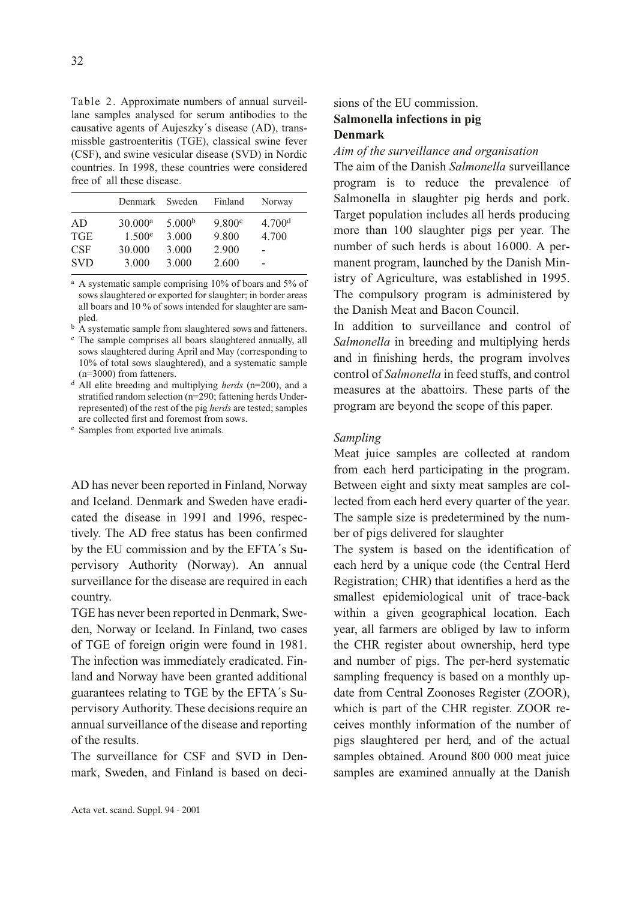32

Table 2. Approximate numbers of annual surveillane samples analysed for serum antibodies to the causative agents of Aujeszky´s disease (AD), transmissble gastroenteritis (TGE), classical swine fever (CSF), and swine vesicular disease (SVD) in Nordic countries. In 1998, these countries were considered free of all these disease.

|            | Denmark             | Sweden             | Finland | Norway                   |
|------------|---------------------|--------------------|---------|--------------------------|
| AD.        | 30.000 <sup>a</sup> | 5.000 <sup>b</sup> | 9.800c  | 4.700 <sup>d</sup>       |
| <b>TGE</b> | 1.500e              | 3.000              | 9.800   | 4.700                    |
| <b>CSF</b> | 30.000              | 3.000              | 2.900   | $\overline{\phantom{0}}$ |
| <b>SVD</b> | 3.000               | 3.000              | 2.600   | ۰                        |

<sup>a</sup> A systematic sample comprising 10% of boars and 5% of sows slaughtered or exported for slaughter; in border areas all boars and 10 % of sows intended for slaughter are sampled.

b A systematic sample from slaughtered sows and fatteners.

- <sup>c</sup> The sample comprises all boars slaughtered annually, all sows slaughtered during April and May (corresponding to 10% of total sows slaughtered), and a systematic sample (n=3000) from fatteners.
- <sup>d</sup> All elite breeding and multiplying *herds* (n=200), and a stratified random selection (n=290; fattening herds Underrepresented) of the rest of the pig *herds* are tested; samples are collected first and foremost from sows.

<sup>e</sup> Samples from exported live animals.

AD has never been reported in Finland, Norway and Iceland. Denmark and Sweden have eradicated the disease in 1991 and 1996, respectively. The AD free status has been confirmed by the EU commission and by the EFTA´s Supervisory Authority (Norway). An annual surveillance for the disease are required in each country.

TGE has never been reported in Denmark, Sweden, Norway or Iceland. In Finland, two cases of TGE of foreign origin were found in 1981. The infection was immediately eradicated. Finland and Norway have been granted additional guarantees relating to TGE by the EFTA´s Supervisory Authority. These decisions require an annual surveillance of the disease and reporting of the results.

The surveillance for CSF and SVD in Denmark, Sweden, and Finland is based on deci-

## sions of the EU commission. **Salmonella infections in pig Denmark**

*Aim of the surveillance and organisation*

The aim of the Danish *Salmonella* surveillance program is to reduce the prevalence of Salmonella in slaughter pig herds and pork. Target population includes all herds producing more than 100 slaughter pigs per year. The number of such herds is about 16000. A permanent program, launched by the Danish Ministry of Agriculture, was established in 1995. The compulsory program is administered by the Danish Meat and Bacon Council.

In addition to surveillance and control of *Salmonella* in breeding and multiplying herds and in finishing herds, the program involves control of *Salmonella* in feed stuffs, and control measures at the abattoirs. These parts of the program are beyond the scope of this paper.

#### *Sampling*

Meat juice samples are collected at random from each herd participating in the program. Between eight and sixty meat samples are collected from each herd every quarter of the year. The sample size is predetermined by the number of pigs delivered for slaughter

The system is based on the identification of each herd by a unique code (the Central Herd Registration; CHR) that identifies a herd as the smallest epidemiological unit of trace-back within a given geographical location. Each year, all farmers are obliged by law to inform the CHR register about ownership, herd type and number of pigs. The per-herd systematic sampling frequency is based on a monthly update from Central Zoonoses Register (ZOOR), which is part of the CHR register. ZOOR receives monthly information of the number of pigs slaughtered per herd, and of the actual samples obtained. Around 800 000 meat juice samples are examined annually at the Danish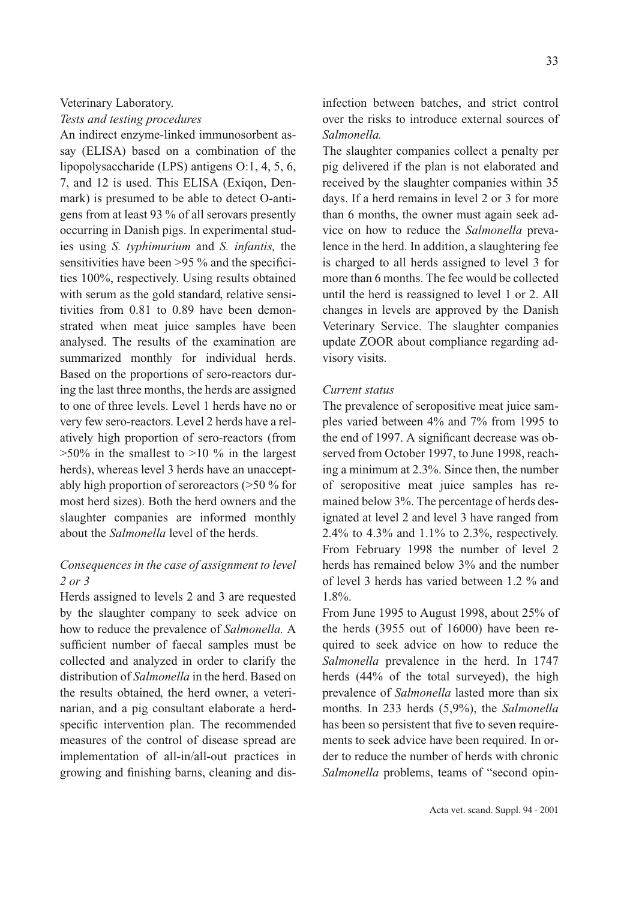## Veterinary Laboratory.

## *Tests and testing procedures*

An indirect enzyme-linked immunosorbent assay (ELISA) based on a combination of the lipopolysaccharide (LPS) antigens O:1, 4, 5, 6, 7, and 12 is used. This ELISA (Exiqon, Denmark) is presumed to be able to detect O-antigens from at least 93 % of all serovars presently occurring in Danish pigs. In experimental studies using *S. typhimurium* and *S. infantis,* the sensitivities have been >95 % and the specificities 100%, respectively. Using results obtained with serum as the gold standard, relative sensitivities from 0.81 to 0.89 have been demonstrated when meat juice samples have been analysed. The results of the examination are summarized monthly for individual herds. Based on the proportions of sero-reactors during the last three months, the herds are assigned to one of three levels. Level 1 herds have no or very few sero-reactors. Level 2 herds have a relatively high proportion of sero-reactors (from  $>50\%$  in the smallest to  $>10\%$  in the largest herds), whereas level 3 herds have an unacceptably high proportion of seroreactors (>50 % for most herd sizes). Both the herd owners and the slaughter companies are informed monthly about the *Salmonella* level of the herds.

## *Consequences in the case of assignment to level 2 or 3*

Herds assigned to levels 2 and 3 are requested by the slaughter company to seek advice on how to reduce the prevalence of *Salmonella.* A sufficient number of faecal samples must be collected and analyzed in order to clarify the distribution of *Salmonella* in the herd. Based on the results obtained, the herd owner, a veterinarian, and a pig consultant elaborate a herdspecific intervention plan. The recommended measures of the control of disease spread are implementation of all-in/all-out practices in growing and finishing barns, cleaning and disinfection between batches, and strict control over the risks to introduce external sources of *Salmonella.*

The slaughter companies collect a penalty per pig delivered if the plan is not elaborated and received by the slaughter companies within 35 days. If a herd remains in level 2 or 3 for more than 6 months, the owner must again seek advice on how to reduce the *Salmonella* prevalence in the herd. In addition, a slaughtering fee is charged to all herds assigned to level 3 for more than 6 months. The fee would be collected until the herd is reassigned to level 1 or 2. All changes in levels are approved by the Danish Veterinary Service. The slaughter companies update ZOOR about compliance regarding advisory visits.

## *Current status*

The prevalence of seropositive meat juice samples varied between 4% and 7% from 1995 to the end of 1997. A significant decrease was observed from October 1997, to June 1998, reaching a minimum at 2.3%. Since then, the number of seropositive meat juice samples has remained below 3%. The percentage of herds designated at level 2 and level 3 have ranged from 2.4% to 4.3% and 1.1% to 2.3%, respectively. From February 1998 the number of level 2 herds has remained below 3% and the number of level 3 herds has varied between 1.2 % and 1.8%.

From June 1995 to August 1998, about 25% of the herds (3955 out of 16000) have been required to seek advice on how to reduce the *Salmonella* prevalence in the herd. In 1747 herds (44% of the total surveyed), the high prevalence of *Salmonella* lasted more than six months. In 233 herds (5,9%), the *Salmonella* has been so persistent that five to seven requirements to seek advice have been required. In order to reduce the number of herds with chronic *Salmonella* problems, teams of "second opin-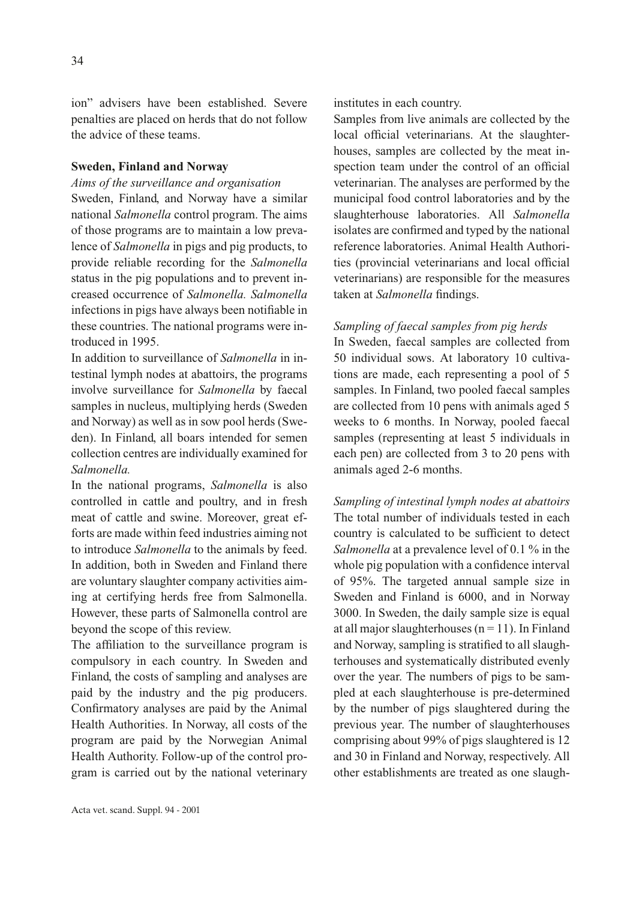ion" advisers have been established. Severe penalties are placed on herds that do not follow the advice of these teams.

## **Sweden, Finland and Norway**

#### *Aims of the surveillance and organisation*

Sweden, Finland, and Norway have a similar national *Salmonella* control program. The aims of those programs are to maintain a low prevalence of *Salmonella* in pigs and pig products, to provide reliable recording for the *Salmonella* status in the pig populations and to prevent increased occurrence of *Salmonella. Salmonella* infections in pigs have always been notifiable in these countries. The national programs were introduced in 1995.

In addition to surveillance of *Salmonella* in intestinal lymph nodes at abattoirs, the programs involve surveillance for *Salmonella* by faecal samples in nucleus, multiplying herds (Sweden and Norway) as well as in sow pool herds (Sweden). In Finland, all boars intended for semen collection centres are individually examined for *Salmonella.*

In the national programs, *Salmonella* is also controlled in cattle and poultry, and in fresh meat of cattle and swine. Moreover, great efforts are made within feed industries aiming not to introduce *Salmonella* to the animals by feed. In addition, both in Sweden and Finland there are voluntary slaughter company activities aiming at certifying herds free from Salmonella. However, these parts of Salmonella control are beyond the scope of this review.

The affiliation to the surveillance program is compulsory in each country. In Sweden and Finland, the costs of sampling and analyses are paid by the industry and the pig producers. Confirmatory analyses are paid by the Animal Health Authorities. In Norway, all costs of the program are paid by the Norwegian Animal Health Authority. Follow-up of the control program is carried out by the national veterinary

Samples from live animals are collected by the local official veterinarians. At the slaughterhouses, samples are collected by the meat inspection team under the control of an official veterinarian. The analyses are performed by the municipal food control laboratories and by the slaughterhouse laboratories. All *Salmonella* isolates are confirmed and typed by the national reference laboratories. Animal Health Authorities (provincial veterinarians and local official veterinarians) are responsible for the measures taken at *Salmonella* findings.

#### *Sampling of faecal samples from pig herds*

In Sweden, faecal samples are collected from 50 individual sows. At laboratory 10 cultivations are made, each representing a pool of 5 samples. In Finland, two pooled faecal samples are collected from 10 pens with animals aged 5 weeks to 6 months. In Norway, pooled faecal samples (representing at least 5 individuals in each pen) are collected from 3 to 20 pens with animals aged 2-6 months.

*Sampling of intestinal lymph nodes at abattoirs* The total number of individuals tested in each country is calculated to be sufficient to detect *Salmonella* at a prevalence level of 0.1 % in the whole pig population with a confidence interval of 95%. The targeted annual sample size in Sweden and Finland is 6000, and in Norway 3000. In Sweden, the daily sample size is equal at all major slaughterhouses ( $n = 11$ ). In Finland and Norway, sampling is stratified to all slaughterhouses and systematically distributed evenly over the year. The numbers of pigs to be sampled at each slaughterhouse is pre-determined by the number of pigs slaughtered during the previous year. The number of slaughterhouses comprising about 99% of pigs slaughtered is 12 and 30 in Finland and Norway, respectively. All other establishments are treated as one slaugh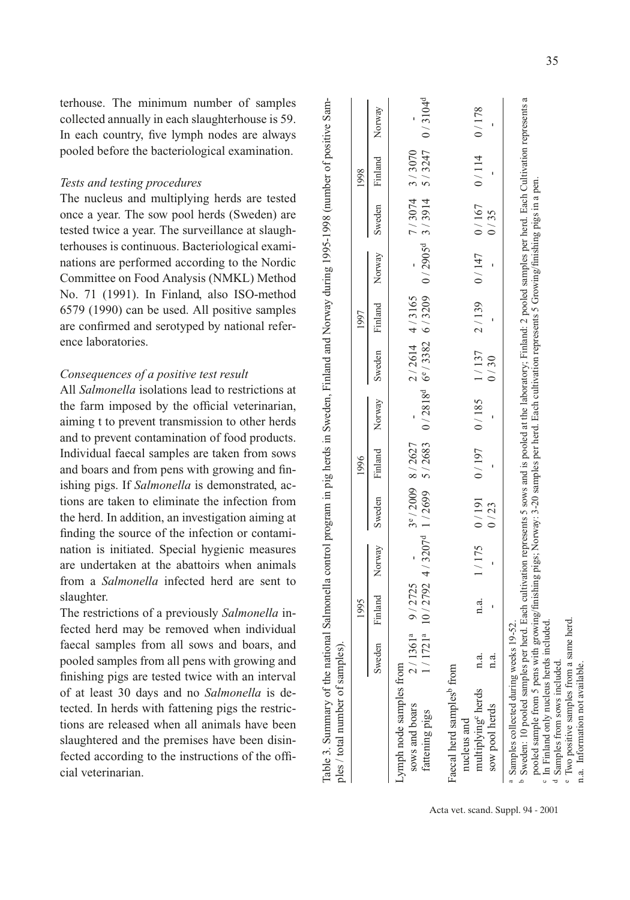terhouse. The minimum number of samples collected annually in each slaughterhouse is 59. In each country, five lymph nodes are always pooled before the bacteriological examination.

#### *Tests and testing procedures*

The nucleus and multiplying herds are tested once a year. The sow pool herds (Sweden) are tested twice a year. The surveillance at slaughterhouses is continuous. Bacteriological examinations are performed according to the Nordic Committee on Food Analysis (NMKL) Method No. 71 (1991). In Finland, also ISO-method 6579 (1990) can be used. All positive samples are confirmed and serotyped by national reference laboratories.

## *Consequences of a positive test result*

All *Salmonella* isolations lead to restrictions at the farm imposed by the official veterinarian, aiming t to prevent transmission to other herds and to prevent contamination of food products. Individual faecal samples are taken from sows and boars and from pens with growing and finishing pigs. If *Salmonella* is demonstrated, actions are taken to eliminate the infection from the herd. In addition, an investigation aiming at finding the source of the infection or contamination is initiated. Special hygienic measures are undertaken at the abattoirs when animals from a *Salmonella* infected herd are sent to slaughter.

The restrictions of a previously *Salmonella* infected herd may be removed when individual faecal samples from all sows and boars, and pooled samples from all pens with growing and finishing pigs are tested twice with an interval of at least 30 days and no *Salmonella* is detected. In herds with fattening pigs the restrictions are released when all animals have been slaughtered and the premises have been disinfected according to the instructions of the official veterinarian.

Table 3. Summary of the national Salmonella control program in pig herds in Sweden, Finland and Norway during 1995-1998 (number of positive Sam-Table 3. Summary of the national Salmonella control program in pig herds in Sweden, Finland and Norway during 1995-1998 (number of positive Samples / total number of samples).  $n$  $|e \rangle$   $t$   $n$  $t$  $n$  $t$  $n$  $t$  $n$  $t$  $n$  $t$  $n$  $t$  $n$  $t$  $n$  $t$  $n$  $t$  $n$  $t$  $n$  $t$  $n$  $t$  $n$  $t$  $n$  $t$  $n$  $t$  $n$  $t$  $n$  $t$  $n$  $t$  $n$  $t$  $n$  $t$  $n$  $t$  $n$  $t$  $n$  $t$  $n$  $t$  $n$  $t$  $n$  $t$  $n$  $t$  $n$  $t$  $n$  $t$  $n$  $t$  $n$  $t$  $n$  $t$  $n$  $t$  $n$  $t$  $n$ 

| рієв / total number or samples).                                                                                                                                                                                                                                                                                                                                                                                                                                                               |              |                                                                                   |                       |      |                       |                 |      |                                                             |      |                       |                              |
|------------------------------------------------------------------------------------------------------------------------------------------------------------------------------------------------------------------------------------------------------------------------------------------------------------------------------------------------------------------------------------------------------------------------------------------------------------------------------------------------|--------------|-----------------------------------------------------------------------------------|-----------------------|------|-----------------------|-----------------|------|-------------------------------------------------------------|------|-----------------------|------------------------------|
|                                                                                                                                                                                                                                                                                                                                                                                                                                                                                                |              | 1995                                                                              |                       | 1996 |                       |                 | 1997 |                                                             |      | 1998                  |                              |
|                                                                                                                                                                                                                                                                                                                                                                                                                                                                                                |              | Sweden Finland Norway                                                             |                       |      | Sweden Finland Norway |                 |      | Sweden Finland Norway                                       |      | Sweden Finland Norway |                              |
| Lymph node samples from<br>sows and boars<br>fattening pigs                                                                                                                                                                                                                                                                                                                                                                                                                                    |              | 1/1721 <sup>a</sup> 10/2792 4/3207 <sup>d</sup> 1/2699 5/2683<br>$2/1361a$ 9/2725 | $3^e / 2009$ 8 / 2627 |      |                       | $2/2614$ 4/3165 |      | $0/2818d$ 6° / 3382 6 / 3209 0 / 2905 <sup>d</sup> 3 / 3914 |      | 7/3074 3/3070         | $5/3247$ 0/3104 <sup>d</sup> |
| Faecal herd samples <sup>b</sup> from<br>multiplying <sup>c</sup> herds<br>sow pool herds<br>nucleus and                                                                                                                                                                                                                                                                                                                                                                                       | n.a.<br>n.a. | n.a.                                                                              | 0/23                  |      |                       | 0/30            |      | 1/175 0/191 0/197 0/185 1/137 2/139 0/147 0/167 0/141 0/178 | 0/35 |                       |                              |
| Sweden: 10 pooled samples per herd. Each cultivation represents 5 sows and is pooled at the laboratory; Finland: 2 pooled samples per herd. Each Cultivation represents a<br>pooled sample from 5 pens with growing/finishing pigs; Norway: 3-20 samples per herd. Each cultivation represents 5 Growing/finishing pigs in a pen.<br>Two positive samples from a same herd.<br>Samples collected during weeks 19-52.<br>In Finland only nucleus herds included.<br>Samples from sows included. |              |                                                                                   |                       |      |                       |                 |      |                                                             |      |                       |                              |

Acta vet. scand. Suppl. 94 - 2001

n.a. Information not available.

n.a. Information not available.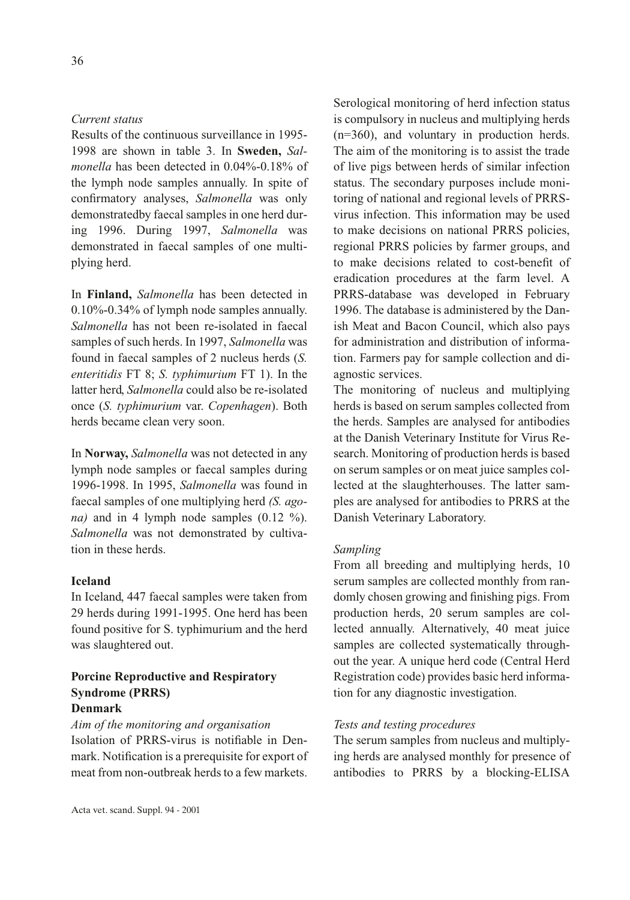#### *Current status*

Results of the continuous surveillance in 1995- 1998 are shown in table 3. In **Sweden,** *Salmonella* has been detected in 0.04%-0.18% of the lymph node samples annually. In spite of confirmatory analyses, *Salmonella* was only demonstratedby faecal samples in one herd during 1996. During 1997, *Salmonella* was demonstrated in faecal samples of one multiplying herd.

In **Finland,** *Salmonella* has been detected in 0.10%-0.34% of lymph node samples annually. *Salmonella* has not been re-isolated in faecal samples of such herds. In 1997, *Salmonella* was found in faecal samples of 2 nucleus herds (*S. enteritidis* FT 8; *S. typhimurium* FT 1). In the latter herd, *Salmonella* could also be re-isolated once (*S. typhimurium* var. *Copenhagen*). Both herds became clean very soon.

In **Norway,** *Salmonella* was not detected in any lymph node samples or faecal samples during 1996-1998. In 1995, *Salmonella* was found in faecal samples of one multiplying herd *(S. agona)* and in 4 lymph node samples (0.12 %). *Salmonella* was not demonstrated by cultivation in these herds.

## **Iceland**

In Iceland, 447 faecal samples were taken from 29 herds during 1991-1995. One herd has been found positive for S. typhimurium and the herd was slaughtered out.

## **Porcine Reproductive and Respiratory Syndrome (PRRS) Denmark**

#### *Aim of the monitoring and organisation*

Isolation of PRRS-virus is notifiable in Denmark. Notification is a prerequisite for export of meat from non-outbreak herds to a few markets.

Serological monitoring of herd infection status is compulsory in nucleus and multiplying herds (n=360), and voluntary in production herds. The aim of the monitoring is to assist the trade of live pigs between herds of similar infection status. The secondary purposes include monitoring of national and regional levels of PRRSvirus infection. This information may be used to make decisions on national PRRS policies, regional PRRS policies by farmer groups, and to make decisions related to cost-benefit of eradication procedures at the farm level. A PRRS-database was developed in February 1996. The database is administered by the Danish Meat and Bacon Council, which also pays for administration and distribution of information. Farmers pay for sample collection and diagnostic services.

The monitoring of nucleus and multiplying herds is based on serum samples collected from the herds. Samples are analysed for antibodies at the Danish Veterinary Institute for Virus Research. Monitoring of production herds is based on serum samples or on meat juice samples collected at the slaughterhouses. The latter samples are analysed for antibodies to PRRS at the Danish Veterinary Laboratory.

#### *Sampling*

From all breeding and multiplying herds, 10 serum samples are collected monthly from randomly chosen growing and finishing pigs. From production herds, 20 serum samples are collected annually. Alternatively, 40 meat juice samples are collected systematically throughout the year. A unique herd code (Central Herd Registration code) provides basic herd information for any diagnostic investigation.

#### *Tests and testing procedures*

The serum samples from nucleus and multiplying herds are analysed monthly for presence of antibodies to PRRS by a blocking-ELISA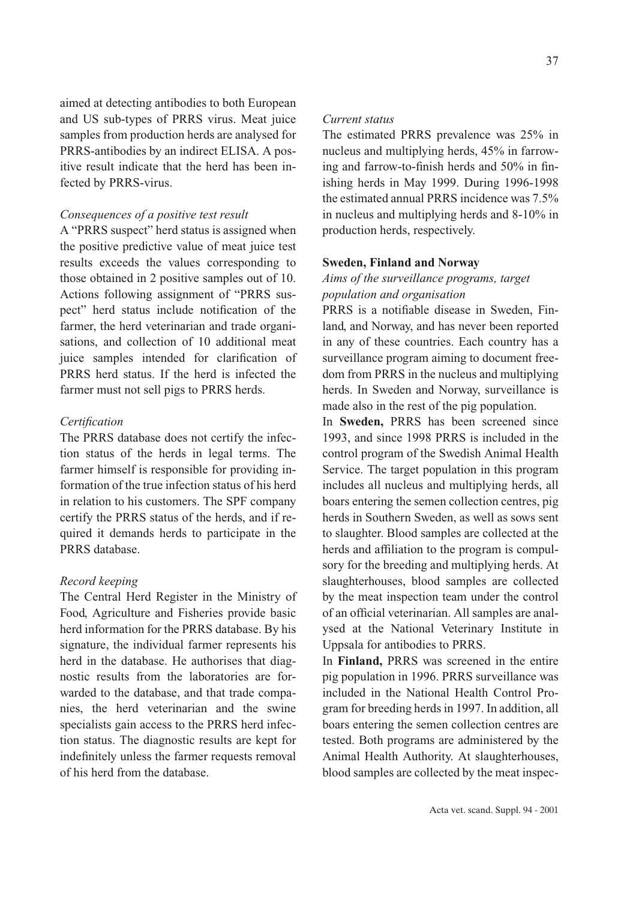aimed at detecting antibodies to both European and US sub-types of PRRS virus. Meat juice samples from production herds are analysed for PRRS-antibodies by an indirect ELISA. A positive result indicate that the herd has been infected by PRRS-virus.

#### *Consequences of a positive test result*

A "PRRS suspect" herd status is assigned when the positive predictive value of meat juice test results exceeds the values corresponding to those obtained in 2 positive samples out of 10. Actions following assignment of "PRRS suspect" herd status include notification of the farmer, the herd veterinarian and trade organisations, and collection of 10 additional meat juice samples intended for clarification of PRRS herd status. If the herd is infected the farmer must not sell pigs to PRRS herds.

#### *Certification*

The PRRS database does not certify the infection status of the herds in legal terms. The farmer himself is responsible for providing information of the true infection status of his herd in relation to his customers. The SPF company certify the PRRS status of the herds, and if required it demands herds to participate in the PRRS database.

#### *Record keeping*

The Central Herd Register in the Ministry of Food, Agriculture and Fisheries provide basic herd information for the PRRS database. By his signature, the individual farmer represents his herd in the database. He authorises that diagnostic results from the laboratories are forwarded to the database, and that trade companies, the herd veterinarian and the swine specialists gain access to the PRRS herd infection status. The diagnostic results are kept for indefinitely unless the farmer requests removal of his herd from the database.

#### *Current status*

The estimated PRRS prevalence was 25% in nucleus and multiplying herds, 45% in farrowing and farrow-to-finish herds and 50% in finishing herds in May 1999. During 1996-1998 the estimated annual PRRS incidence was 7.5% in nucleus and multiplying herds and 8-10% in production herds, respectively.

### **Sweden, Finland and Norway**

## *Aims of the surveillance programs, target population and organisation*

PRRS is a notifiable disease in Sweden, Finland, and Norway, and has never been reported in any of these countries. Each country has a surveillance program aiming to document freedom from PRRS in the nucleus and multiplying herds. In Sweden and Norway, surveillance is made also in the rest of the pig population.

In **Sweden,** PRRS has been screened since 1993, and since 1998 PRRS is included in the control program of the Swedish Animal Health Service. The target population in this program includes all nucleus and multiplying herds, all boars entering the semen collection centres, pig herds in Southern Sweden, as well as sows sent to slaughter. Blood samples are collected at the herds and affiliation to the program is compulsory for the breeding and multiplying herds. At slaughterhouses, blood samples are collected by the meat inspection team under the control of an official veterinarian. All samples are analysed at the National Veterinary Institute in Uppsala for antibodies to PRRS.

In **Finland,** PRRS was screened in the entire pig population in 1996. PRRS surveillance was included in the National Health Control Program for breeding herds in 1997. In addition, all boars entering the semen collection centres are tested. Both programs are administered by the Animal Health Authority. At slaughterhouses, blood samples are collected by the meat inspec-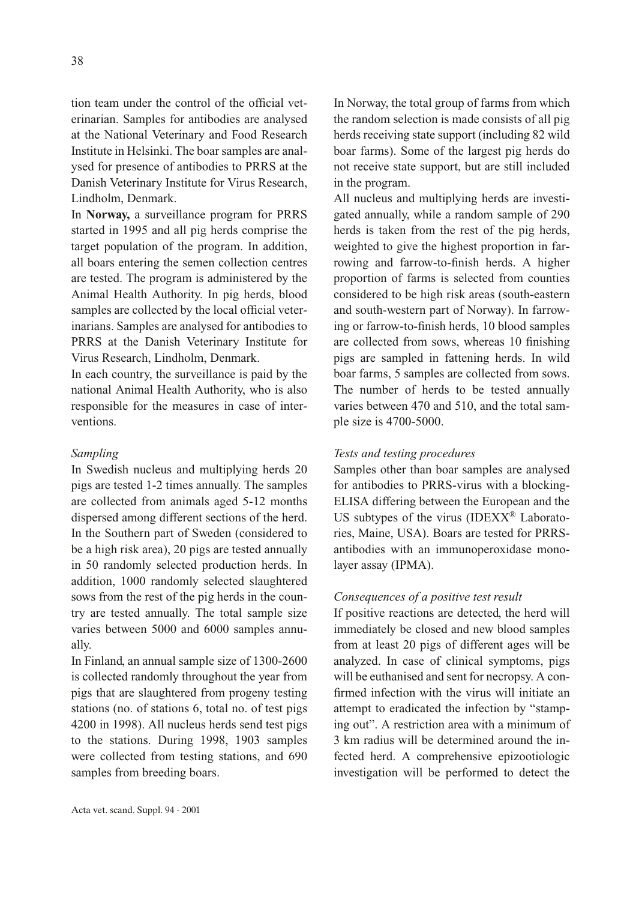tion team under the control of the official veterinarian. Samples for antibodies are analysed at the National Veterinary and Food Research Institute in Helsinki. The boar samples are analysed for presence of antibodies to PRRS at the Danish Veterinary Institute for Virus Research, Lindholm, Denmark.

In **Norway,** a surveillance program for PRRS started in 1995 and all pig herds comprise the target population of the program. In addition, all boars entering the semen collection centres are tested. The program is administered by the Animal Health Authority. In pig herds, blood samples are collected by the local official veterinarians. Samples are analysed for antibodies to PRRS at the Danish Veterinary Institute for Virus Research, Lindholm, Denmark.

In each country, the surveillance is paid by the national Animal Health Authority, who is also responsible for the measures in case of interventions.

#### *Sampling*

In Swedish nucleus and multiplying herds 20 pigs are tested 1-2 times annually. The samples are collected from animals aged 5-12 months dispersed among different sections of the herd. In the Southern part of Sweden (considered to be a high risk area), 20 pigs are tested annually in 50 randomly selected production herds. In addition, 1000 randomly selected slaughtered sows from the rest of the pig herds in the country are tested annually. The total sample size varies between 5000 and 6000 samples annually.

In Finland, an annual sample size of 1300-2600 is collected randomly throughout the year from pigs that are slaughtered from progeny testing stations (no. of stations 6, total no. of test pigs 4200 in 1998). All nucleus herds send test pigs to the stations. During 1998, 1903 samples were collected from testing stations, and 690 samples from breeding boars.

In Norway, the total group of farms from which the random selection is made consists of all pig herds receiving state support (including 82 wild boar farms). Some of the largest pig herds do not receive state support, but are still included in the program.

All nucleus and multiplying herds are investigated annually, while a random sample of 290 herds is taken from the rest of the pig herds, weighted to give the highest proportion in farrowing and farrow-to-finish herds. A higher proportion of farms is selected from counties considered to be high risk areas (south-eastern and south-western part of Norway). In farrowing or farrow-to-finish herds, 10 blood samples are collected from sows, whereas 10 finishing pigs are sampled in fattening herds. In wild boar farms, 5 samples are collected from sows. The number of herds to be tested annually varies between 470 and 510, and the total sample size is 4700-5000.

## *Tests and testing procedures*

Samples other than boar samples are analysed for antibodies to PRRS-virus with a blocking-ELISA differing between the European and the US subtypes of the virus (IDEXX<sup>®</sup> Laboratories, Maine, USA). Boars are tested for PRRSantibodies with an immunoperoxidase monolayer assay (IPMA).

## *Consequences of a positive test result*

If positive reactions are detected, the herd will immediately be closed and new blood samples from at least 20 pigs of different ages will be analyzed. In case of clinical symptoms, pigs will be euthanised and sent for necropsy. A confirmed infection with the virus will initiate an attempt to eradicated the infection by "stamping out". A restriction area with a minimum of 3 km radius will be determined around the infected herd. A comprehensive epizootiologic investigation will be performed to detect the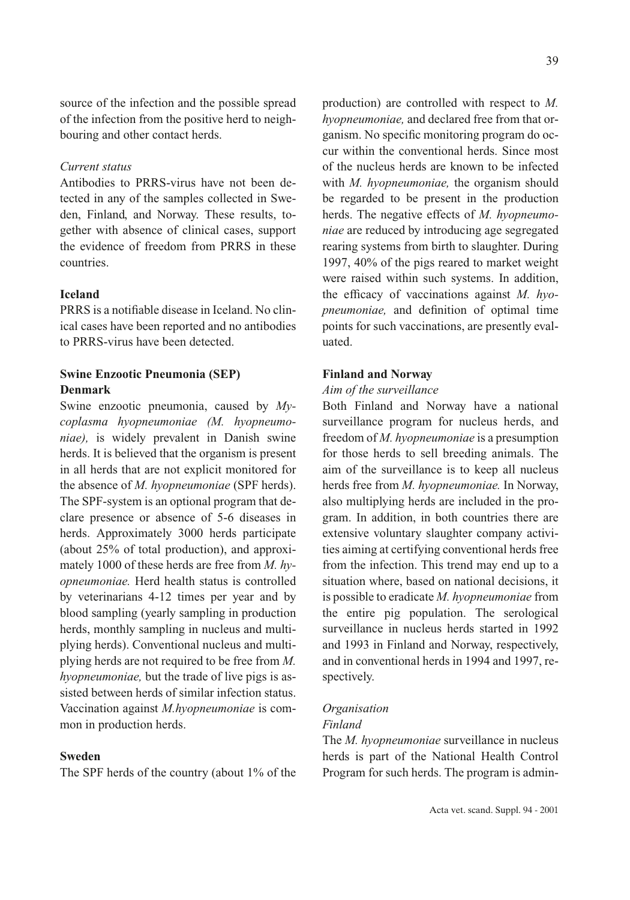source of the infection and the possible spread of the infection from the positive herd to neighbouring and other contact herds.

## *Current status*

Antibodies to PRRS-virus have not been detected in any of the samples collected in Sweden, Finland, and Norway. These results, together with absence of clinical cases, support the evidence of freedom from PRRS in these countries.

#### **Iceland**

PRRS is a notifiable disease in Iceland. No clinical cases have been reported and no antibodies to PRRS-virus have been detected.

## **Swine Enzootic Pneumonia (SEP) Denmark**

Swine enzootic pneumonia, caused by *Mycoplasma hyopneumoniae (M. hyopneumoniae),* is widely prevalent in Danish swine herds. It is believed that the organism is present in all herds that are not explicit monitored for the absence of *M. hyopneumoniae* (SPF herds). The SPF-system is an optional program that declare presence or absence of 5-6 diseases in herds. Approximately 3000 herds participate (about 25% of total production), and approximately 1000 of these herds are free from *M. hyopneumoniae.* Herd health status is controlled by veterinarians 4-12 times per year and by blood sampling (yearly sampling in production herds, monthly sampling in nucleus and multiplying herds). Conventional nucleus and multiplying herds are not required to be free from *M. hyopneumoniae,* but the trade of live pigs is assisted between herds of similar infection status. Vaccination against *M.hyopneumoniae* is common in production herds.

# **Sweden**

The SPF herds of the country (about 1% of the

*hyopneumoniae,* and declared free from that organism. No specific monitoring program do occur within the conventional herds. Since most of the nucleus herds are known to be infected with *M. hyopneumoniae,* the organism should be regarded to be present in the production herds. The negative effects of *M. hyopneumoniae* are reduced by introducing age segregated rearing systems from birth to slaughter. During 1997, 40% of the pigs reared to market weight were raised within such systems. In addition, the efficacy of vaccinations against *M. hyopneumoniae,* and definition of optimal time points for such vaccinations, are presently evaluated.

#### **Finland and Norway**

#### *Aim of the surveillance*

Both Finland and Norway have a national surveillance program for nucleus herds, and freedom of *M. hyopneumoniae* is a presumption for those herds to sell breeding animals. The aim of the surveillance is to keep all nucleus herds free from *M. hyopneumoniae.* In Norway, also multiplying herds are included in the program. In addition, in both countries there are extensive voluntary slaughter company activities aiming at certifying conventional herds free from the infection. This trend may end up to a situation where, based on national decisions, it is possible to eradicate *M. hyopneumoniae* from the entire pig population. The serological surveillance in nucleus herds started in 1992 and 1993 in Finland and Norway, respectively, and in conventional herds in 1994 and 1997, respectively.

# *Organisation*

## *Finland*

The *M. hyopneumoniae* surveillance in nucleus herds is part of the National Health Control Program for such herds. The program is admin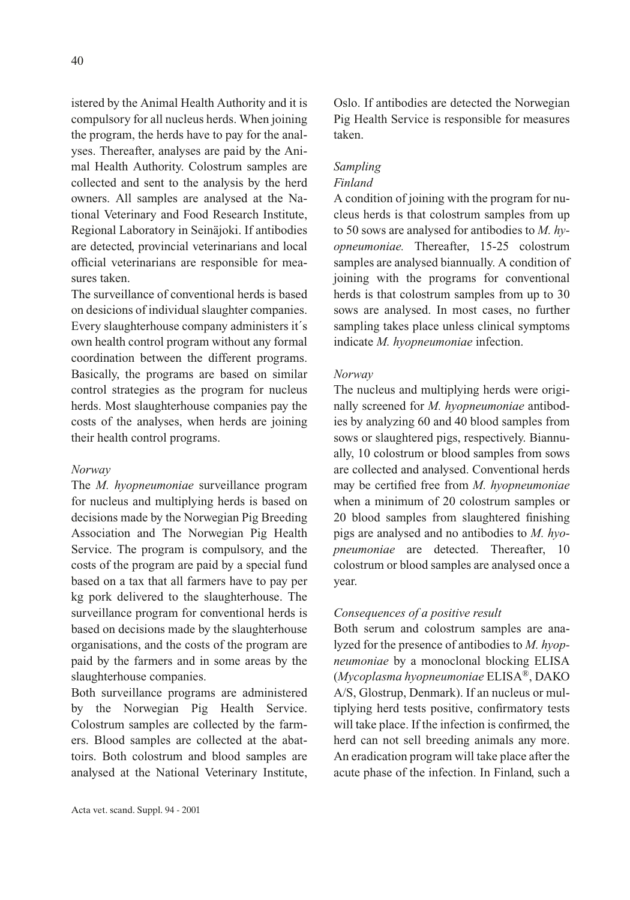istered by the Animal Health Authority and it is compulsory for all nucleus herds. When joining the program, the herds have to pay for the analyses. Thereafter, analyses are paid by the Animal Health Authority. Colostrum samples are collected and sent to the analysis by the herd owners. All samples are analysed at the National Veterinary and Food Research Institute, Regional Laboratory in Seinäjoki. If antibodies are detected, provincial veterinarians and local official veterinarians are responsible for measures taken.

The surveillance of conventional herds is based on desicions of individual slaughter companies. Every slaughterhouse company administers it´s own health control program without any formal coordination between the different programs. Basically, the programs are based on similar control strategies as the program for nucleus herds. Most slaughterhouse companies pay the costs of the analyses, when herds are joining their health control programs.

#### *Norway*

The *M. hyopneumoniae* surveillance program for nucleus and multiplying herds is based on decisions made by the Norwegian Pig Breeding Association and The Norwegian Pig Health Service. The program is compulsory, and the costs of the program are paid by a special fund based on a tax that all farmers have to pay per kg pork delivered to the slaughterhouse. The surveillance program for conventional herds is based on decisions made by the slaughterhouse organisations, and the costs of the program are paid by the farmers and in some areas by the slaughterhouse companies.

Both surveillance programs are administered by the Norwegian Pig Health Service. Colostrum samples are collected by the farmers. Blood samples are collected at the abattoirs. Both colostrum and blood samples are analysed at the National Veterinary Institute,

Oslo. If antibodies are detected the Norwegian Pig Health Service is responsible for measures taken.

# *Sampling*

# *Finland*

A condition of joining with the program for nucleus herds is that colostrum samples from up to 50 sows are analysed for antibodies to *M. hyopneumoniae.* Thereafter, 15-25 colostrum samples are analysed biannually. A condition of joining with the programs for conventional herds is that colostrum samples from up to 30 sows are analysed. In most cases, no further sampling takes place unless clinical symptoms indicate *M. hyopneumoniae* infection.

#### *Norway*

The nucleus and multiplying herds were originally screened for *M. hyopneumoniae* antibodies by analyzing 60 and 40 blood samples from sows or slaughtered pigs, respectively. Biannually, 10 colostrum or blood samples from sows are collected and analysed. Conventional herds may be certified free from *M. hyopneumoniae* when a minimum of 20 colostrum samples or 20 blood samples from slaughtered finishing pigs are analysed and no antibodies to *M. hyopneumoniae* are detected. Thereafter, 10 colostrum or blood samples are analysed once a year.

## *Consequences of a positive result*

Both serum and colostrum samples are analyzed for the presence of antibodies to *M. hyopneumoniae* by a monoclonal blocking ELISA (*Mycoplasma hyopneumoniae* ELISA®, DAKO A/S, Glostrup, Denmark). If an nucleus or multiplying herd tests positive, confirmatory tests will take place. If the infection is confirmed, the herd can not sell breeding animals any more. An eradication program will take place after the acute phase of the infection. In Finland, such a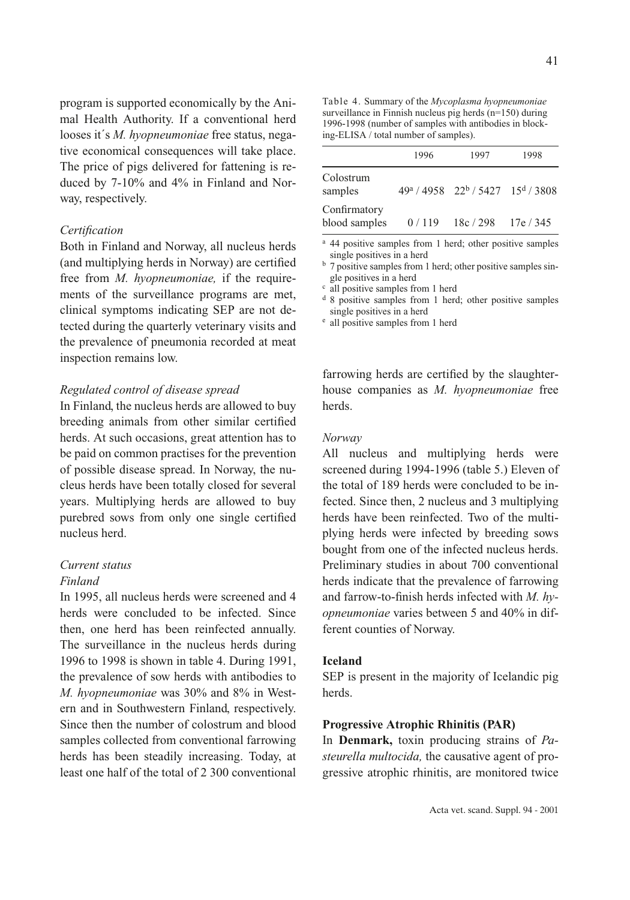program is supported economically by the Animal Health Authority. If a conventional herd looses it´s *M. hyopneumoniae* free status, negative economical consequences will take place. The price of pigs delivered for fattening is reduced by 7-10% and 4% in Finland and Norway, respectively.

#### *Certification*

Both in Finland and Norway, all nucleus herds (and multiplying herds in Norway) are certified free from *M. hyopneumoniae,* if the requirements of the surveillance programs are met, clinical symptoms indicating SEP are not detected during the quarterly veterinary visits and the prevalence of pneumonia recorded at meat inspection remains low.

#### *Regulated control of disease spread*

In Finland, the nucleus herds are allowed to buy breeding animals from other similar certified herds. At such occasions, great attention has to be paid on common practises for the prevention of possible disease spread. In Norway, the nucleus herds have been totally closed for several years. Multiplying herds are allowed to buy purebred sows from only one single certified nucleus herd.

#### *Current status*

#### *Finland*

In 1995, all nucleus herds were screened and 4 herds were concluded to be infected. Since then, one herd has been reinfected annually. The surveillance in the nucleus herds during 1996 to 1998 is shown in table 4. During 1991, the prevalence of sow herds with antibodies to *M. hyopneumoniae* was 30% and 8% in Western and in Southwestern Finland, respectively. Since then the number of colostrum and blood samples collected from conventional farrowing herds has been steadily increasing. Today, at least one half of the total of 2 300 conventional

Table 4. Summary of the *Mycoplasma hyopneumoniae* surveillance in Finnish nucleus pig herds  $(n=150)$  during 1996-1998 (number of samples with antibodies in blocking-ELISA / total number of samples).

|                               | 1996  | 1997                                      | 1998 |
|-------------------------------|-------|-------------------------------------------|------|
| Colostrum<br>samples          |       | $49^a / 4958$ $22^b / 5427$ $15^d / 3808$ |      |
| Confirmatory<br>blood samples | 0/119 | 18c / 298 17e / 345                       |      |

<sup>a</sup> 44 positive samples from 1 herd; other positive samples single positives in a herd

<sup>b</sup> 7 positive samples from 1 herd; other positive samples single positives in a herd

all positive samples from 1 herd

<sup>d</sup> 8 positive samples from 1 herd; other positive samples single positives in a herd

<sup>e</sup> all positive samples from 1 herd

farrowing herds are certified by the slaughterhouse companies as *M. hyopneumoniae* free herds.

## *Norway*

All nucleus and multiplying herds were screened during 1994-1996 (table 5.) Eleven of the total of 189 herds were concluded to be infected. Since then, 2 nucleus and 3 multiplying herds have been reinfected. Two of the multiplying herds were infected by breeding sows bought from one of the infected nucleus herds. Preliminary studies in about 700 conventional herds indicate that the prevalence of farrowing and farrow-to-finish herds infected with *M. hyopneumoniae* varies between 5 and 40% in different counties of Norway.

## **Iceland**

SEP is present in the majority of Icelandic pig herds.

#### **Progressive Atrophic Rhinitis (PAR)**

In **Denmark,** toxin producing strains of *Pasteurella multocida,* the causative agent of progressive atrophic rhinitis, are monitored twice